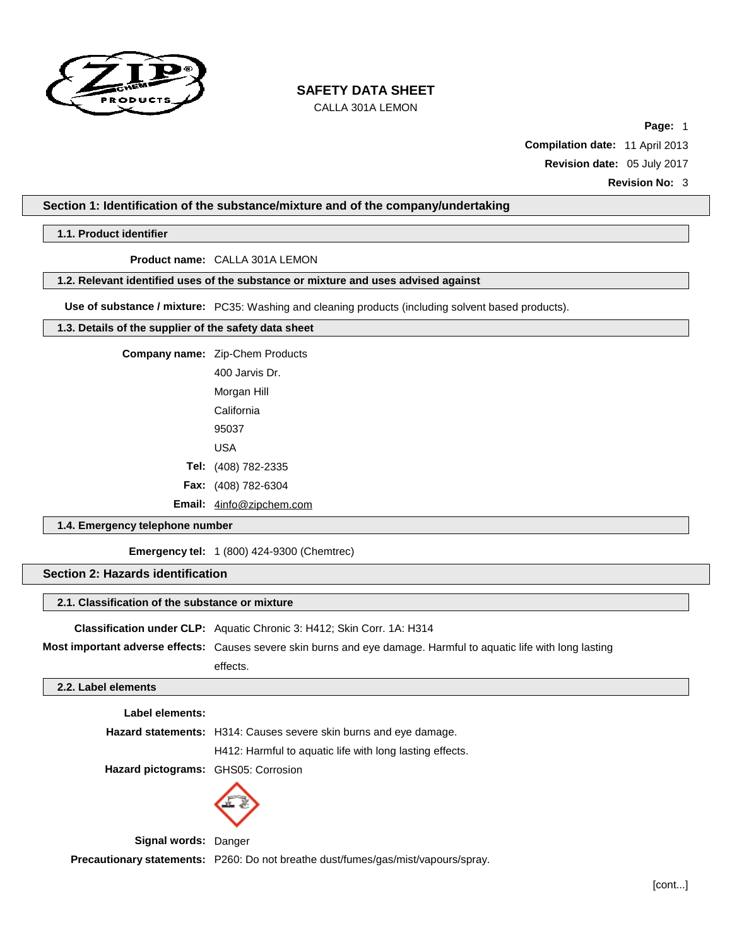

CALLA 301A LEMON

**Page:** 1 **Compilation date:** 11 April 2013 **Revision date:** 05 July 2017

### **Section 1: Identification of the substance/mixture and of the company/undertaking**

## **1.1. Product identifier**

**Product name:** CALLA 301A LEMON

### **1.2. Relevant identified uses of the substance or mixture and uses advised against**

**Use of substance / mixture:** PC35: Washing and cleaning products (including solvent based products).

## **1.3. Details of the supplier of the safety data sheet**

| Company name: Zip-Chem Products |
|---------------------------------|
| 400 Jarvis Dr.                  |
| Morgan Hill                     |
| California                      |
| 95037                           |
| USA                             |
| Tel: (408) 782-2335             |
| Fax: (408) 782-6304             |
| <b>Email:</b> 4info@zipchem.com |
|                                 |

## **1.4. Emergency telephone number**

**Emergency tel:** 1 (800) 424-9300 (Chemtrec)

### **Section 2: Hazards identification**

#### **2.1. Classification of the substance or mixture**

**Classification under CLP:** Aquatic Chronic 3: H412; Skin Corr. 1A: H314

**Most important adverse effects:** Causes severe skin burns and eye damage. Harmful to aquatic life with long lasting effects.

### **2.2. Label elements**

| Label elements:                     |                                                                          |
|-------------------------------------|--------------------------------------------------------------------------|
|                                     | <b>Hazard statements:</b> H314: Causes severe skin burns and eye damage. |
|                                     | H412: Harmful to aquatic life with long lasting effects.                 |
| Hazard pictograms: GHS05: Corrosion |                                                                          |



**Signal words:** Danger **Precautionary statements:** P260: Do not breathe dust/fumes/gas/mist/vapours/spray.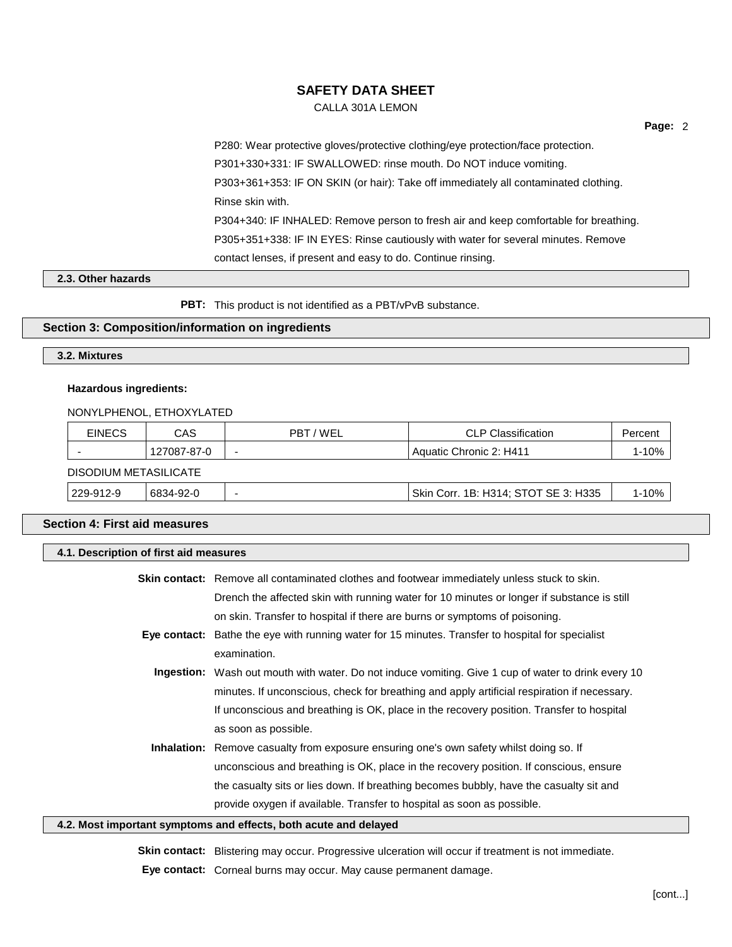CALLA 301A LEMON

**Page:** 2

P280: Wear protective gloves/protective clothing/eye protection/face protection. P301+330+331: IF SWALLOWED: rinse mouth. Do NOT induce vomiting. P303+361+353: IF ON SKIN (or hair): Take off immediately all contaminated clothing. Rinse skin with. P304+340: IF INHALED: Remove person to fresh air and keep comfortable for breathing. P305+351+338: IF IN EYES: Rinse cautiously with water for several minutes. Remove contact lenses, if present and easy to do. Continue rinsing.

### **2.3. Other hazards**

**PBT:** This product is not identified as a PBT/vPvB substance.

### **Section 3: Composition/information on ingredients**

### **3.2. Mixtures**

### **Hazardous ingredients:**

NONYLPHENOL, ETHOXYLATED

| <b>EINECS</b>         | CAS         | PBT/WEL                  | <b>CLP Classification</b>            | Percent   |
|-----------------------|-------------|--------------------------|--------------------------------------|-----------|
|                       | 127087-87-0 | $\overline{\phantom{0}}$ | Aquatic Chronic 2: H411              | $1 - 10%$ |
| DISODIUM METASILICATE |             |                          |                                      |           |
| 229-912-9             | 6834-92-0   |                          | Skin Corr. 1B: H314; STOT SE 3: H335 | $1 - 10%$ |

### **Section 4: First aid measures**

### **4.1. Description of first aid measures**

|                                                                  | <b>Skin contact:</b> Remove all contaminated clothes and footwear immediately unless stuck to skin.        |
|------------------------------------------------------------------|------------------------------------------------------------------------------------------------------------|
|                                                                  | Drench the affected skin with running water for 10 minutes or longer if substance is still                 |
|                                                                  | on skin. Transfer to hospital if there are burns or symptoms of poisoning.                                 |
|                                                                  | <b>Eye contact:</b> Bathe the eye with running water for 15 minutes. Transfer to hospital for specialist   |
|                                                                  | examination.                                                                                               |
|                                                                  | <b>Ingestion:</b> Wash out mouth with water. Do not induce vomiting. Give 1 cup of water to drink every 10 |
|                                                                  | minutes. If unconscious, check for breathing and apply artificial respiration if necessary.                |
|                                                                  | If unconscious and breathing is OK, place in the recovery position. Transfer to hospital                   |
|                                                                  | as soon as possible.                                                                                       |
|                                                                  | <b>Inhalation:</b> Remove casualty from exposure ensuring one's own safety whilst doing so. If             |
|                                                                  | unconscious and breathing is OK, place in the recovery position. If conscious, ensure                      |
|                                                                  | the casualty sits or lies down. If breathing becomes bubbly, have the casualty sit and                     |
|                                                                  | provide oxygen if available. Transfer to hospital as soon as possible.                                     |
| 4.2. Most important symptoms and effects, both acute and delayed |                                                                                                            |

**Skin contact:** Blistering may occur. Progressive ulceration will occur if treatment is not immediate. **Eye contact:** Corneal burns may occur. May cause permanent damage.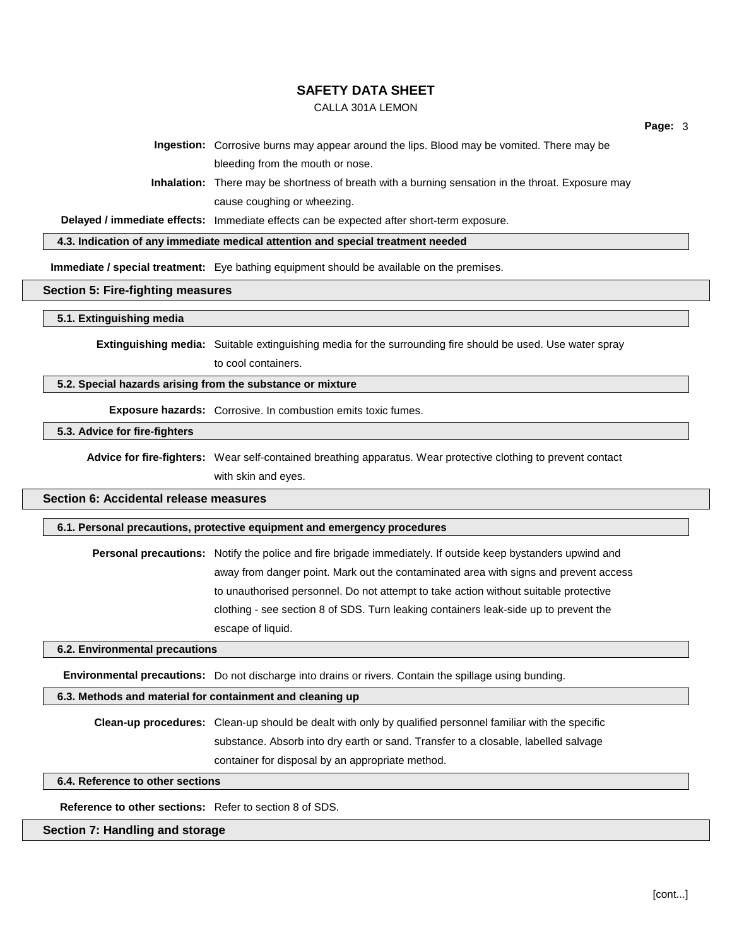#### CALLA 301A LEMON

**Page:** 3

**Ingestion:** Corrosive burns may appear around the lips. Blood may be vomited. There may be bleeding from the mouth or nose.

**Inhalation:** There may be shortness of breath with a burning sensation in the throat. Exposure may cause coughing or wheezing.

**Delayed / immediate effects:** Immediate effects can be expected after short-term exposure.

**4.3. Indication of any immediate medical attention and special treatment needed**

**Immediate / special treatment:** Eye bathing equipment should be available on the premises.

#### **Section 5: Fire-fighting measures**

**5.1. Extinguishing media**

**Extinguishing media:** Suitable extinguishing media for the surrounding fire should be used. Use water spray

to cool containers.

### **5.2. Special hazards arising from the substance or mixture**

**Exposure hazards:** Corrosive. In combustion emits toxic fumes.

#### **5.3. Advice for fire-fighters**

**Advice for fire-fighters:** Wear self-contained breathing apparatus. Wear protective clothing to prevent contact with skin and eyes.

### **Section 6: Accidental release measures**

**6.1. Personal precautions, protective equipment and emergency procedures**

**Personal precautions:** Notify the police and fire brigade immediately. If outside keep bystanders upwind and away from danger point. Mark out the contaminated area with signs and prevent access to unauthorised personnel. Do not attempt to take action without suitable protective clothing - see section 8 of SDS. Turn leaking containers leak-side up to prevent the escape of liquid.

**6.2. Environmental precautions**

**Environmental precautions:** Do not discharge into drains or rivers. Contain the spillage using bunding.

### **6.3. Methods and material for containment and cleaning up**

**Clean-up procedures:** Clean-up should be dealt with only by qualified personnel familiar with the specific substance. Absorb into dry earth or sand. Transfer to a closable, labelled salvage container for disposal by an appropriate method.

#### **6.4. Reference to other sections**

**Reference to other sections:** Refer to section 8 of SDS.

#### **Section 7: Handling and storage**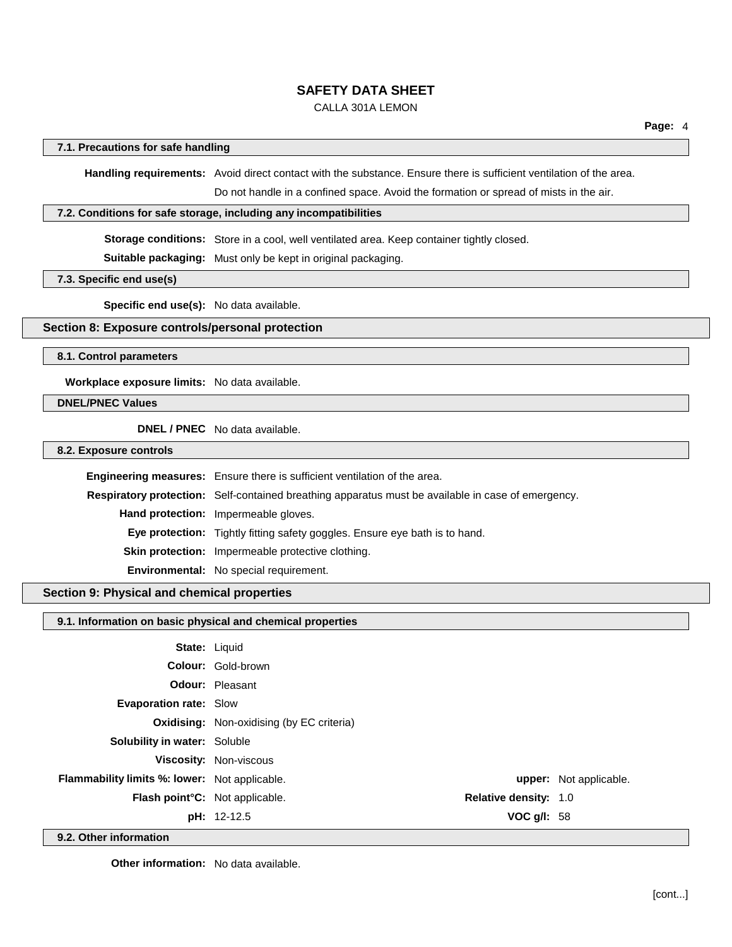CALLA 301A LEMON

#### **7.1. Precautions for safe handling**

**Handling requirements:** Avoid direct contact with the substance. Ensure there is sufficient ventilation of the area.

Do not handle in a confined space. Avoid the formation or spread of mists in the air.

### **7.2. Conditions for safe storage, including any incompatibilities**

**Storage conditions:** Store in a cool, well ventilated area. Keep container tightly closed.

**Suitable packaging:** Must only be kept in original packaging.

**7.3. Specific end use(s)**

**Specific end use(s):** No data available.

## **Section 8: Exposure controls/personal protection**

**8.1. Control parameters**

**Workplace exposure limits:** No data available.

### **DNEL/PNEC Values**

**DNEL / PNEC** No data available.

**8.2. Exposure controls**

| <b>Engineering measures:</b> Ensure there is sufficient ventilation of the area.                          |
|-----------------------------------------------------------------------------------------------------------|
| <b>Respiratory protection:</b> Self-contained breathing apparatus must be available in case of emergency. |
| <b>Hand protection:</b> Impermeable gloves.                                                               |
| <b>Eye protection:</b> Tightly fitting safety goggles. Ensure eye bath is to hand.                        |
| Skin protection: Impermeable protective clothing.                                                         |
| Environmental: No special requirement.                                                                    |

# **Section 9: Physical and chemical properties**

### **9.1. Information on basic physical and chemical properties**

| .<br>$\cdots$                                        |                                                  |                               |
|------------------------------------------------------|--------------------------------------------------|-------------------------------|
|                                                      | VOC $g/I: 58$<br><b>pH:</b> 12-12.5              |                               |
| Flash point°C: Not applicable.                       | <b>Relative density: 1.0</b>                     |                               |
| <b>Flammability limits %: lower:</b> Not applicable. |                                                  | <b>upper:</b> Not applicable. |
|                                                      | <b>Viscosity: Non-viscous</b>                    |                               |
| <b>Solubility in water: Soluble</b>                  |                                                  |                               |
|                                                      | <b>Oxidising:</b> Non-oxidising (by EC criteria) |                               |
| <b>Evaporation rate: Slow</b>                        |                                                  |                               |
|                                                      | <b>Odour: Pleasant</b>                           |                               |
|                                                      | <b>Colour: Gold-brown</b>                        |                               |
|                                                      | <b>State: Liquid</b>                             |                               |

**9.2. Other information**

**Other information:** No data available.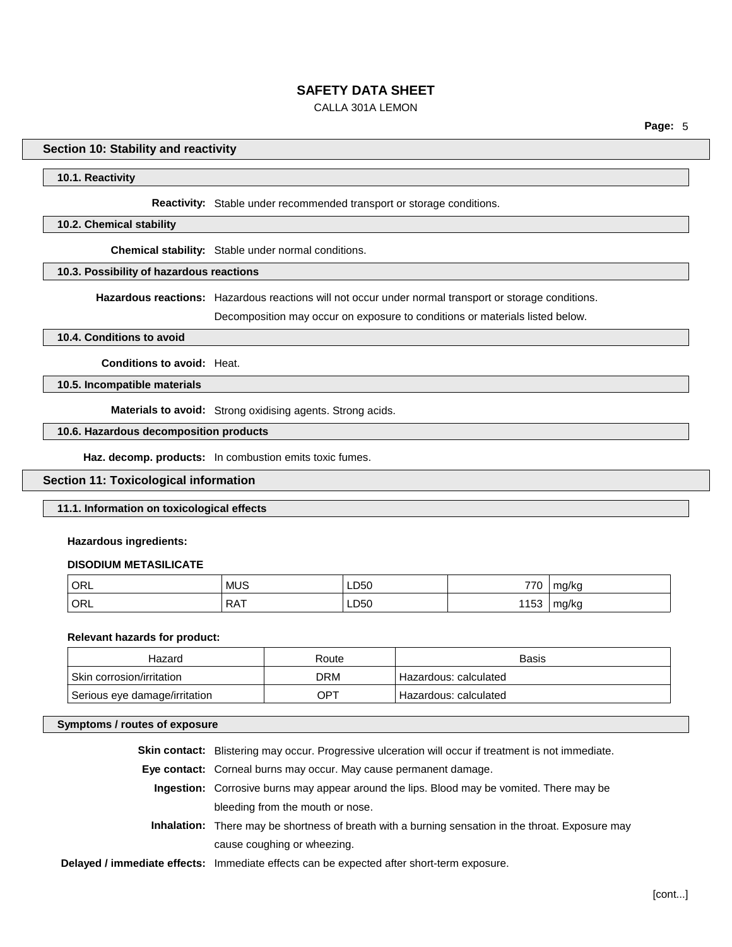CALLA 301A LEMON

**Page:** 5

### **Section 10: Stability and reactivity**

## **10.1. Reactivity**

**Reactivity:** Stable under recommended transport or storage conditions.

### **10.2. Chemical stability**

**Chemical stability:** Stable under normal conditions.

# **10.3. Possibility of hazardous reactions**

**Hazardous reactions:** Hazardous reactions will not occur under normal transport or storage conditions.

Decomposition may occur on exposure to conditions or materials listed below.

## **10.4. Conditions to avoid**

**Conditions to avoid:** Heat.

**10.5. Incompatible materials**

**Materials to avoid:** Strong oxidising agents. Strong acids.

# **10.6. Hazardous decomposition products**

**Haz. decomp. products:** In combustion emits toxic fumes.

## **Section 11: Toxicological information**

#### **11.1. Information on toxicological effects**

### **Hazardous ingredients:**

#### **DISODIUM METASILICATE**

| ORL | <b>MUS</b> | LD50          | 770 | ma/ka |
|-----|------------|---------------|-----|-------|
| ORL | <b>RAT</b> | LD50<br>_____ | 153 | mg/kg |

#### **Relevant hazards for product:**

| Hazard                        | Route      | Basis                   |
|-------------------------------|------------|-------------------------|
| ⊪ Skin corrosion/irritation   | <b>DRM</b> | ' Hazardous: calculated |
| Serious eye damage/irritation | OPT        | Hazardous: calculated   |

### **Symptoms / routes of exposure**

| <b>Skin contact:</b> Blistering may occur. Progressive ulceration will occur if treatment is not immediate. |
|-------------------------------------------------------------------------------------------------------------|
| <b>Eye contact:</b> Corneal burns may occur. May cause permanent damage.                                    |
| Ingestion: Corrosive burns may appear around the lips. Blood may be vomited. There may be                   |
| bleeding from the mouth or nose.                                                                            |
| <b>Inhalation:</b> There may be shortness of breath with a burning sensation in the throat. Exposure may    |
| cause coughing or wheezing.                                                                                 |
| Delayed / immediate effects: Immediate effects can be expected after short-term exposure.                   |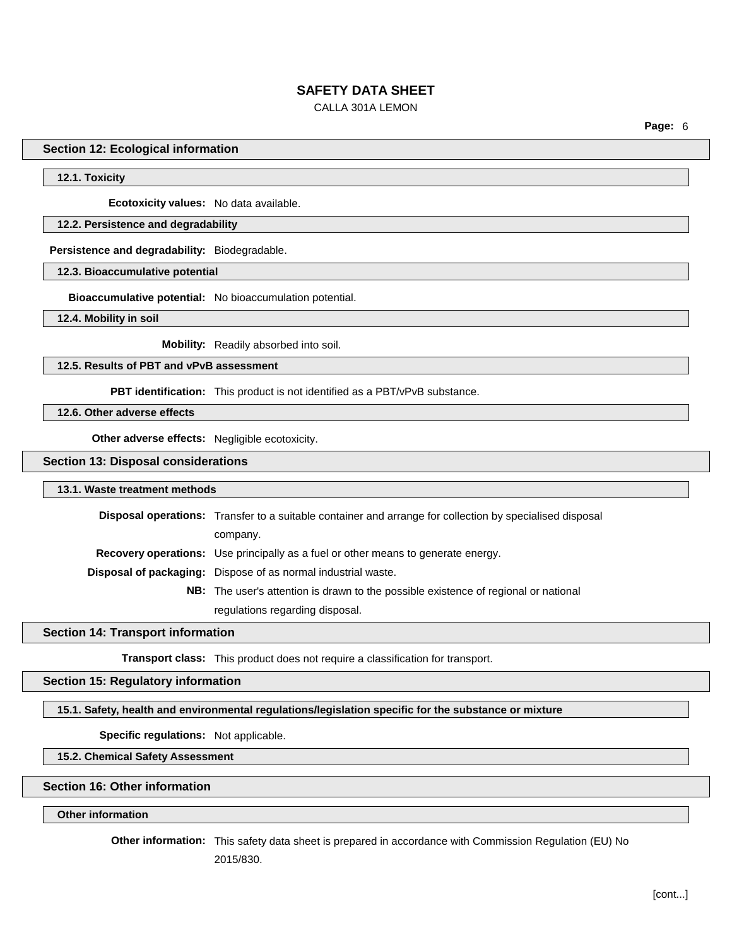### CALLA 301A LEMON

**Page:** 6

#### **Section 12: Ecological information**

**12.1. Toxicity**

**Ecotoxicity values:** No data available.

## **12.2. Persistence and degradability**

**Persistence and degradability:** Biodegradable.

**12.3. Bioaccumulative potential**

**Bioaccumulative potential:** No bioaccumulation potential.

**12.4. Mobility in soil**

**Mobility:** Readily absorbed into soil.

**12.5. Results of PBT and vPvB assessment**

**PBT identification:** This product is not identified as a PBT/vPvB substance.

**12.6. Other adverse effects**

**Other adverse effects:** Negligible ecotoxicity.

### **Section 13: Disposal considerations**

#### **13.1. Waste treatment methods**

| <b>Disposal operations:</b> Transfer to a suitable container and arrange for collection by specialised disposal |  |
|-----------------------------------------------------------------------------------------------------------------|--|
| company.                                                                                                        |  |
| <b>Recovery operations:</b> Use principally as a fuel or other means to generate energy.                        |  |
| <b>Disposal of packaging:</b> Dispose of as normal industrial waste.                                            |  |
| <b>NB:</b> The user's attention is drawn to the possible existence of regional or national                      |  |
| regulations regarding disposal.                                                                                 |  |

### **Section 14: Transport information**

**Transport class:** This product does not require a classification for transport.

**Section 15: Regulatory information**

### **15.1. Safety, health and environmental regulations/legislation specific for the substance or mixture**

**Specific regulations:** Not applicable.

**15.2. Chemical Safety Assessment**

# **Section 16: Other information**

# **Other information**

**Other information:** This safety data sheet is prepared in accordance with Commission Regulation (EU) No

2015/830.